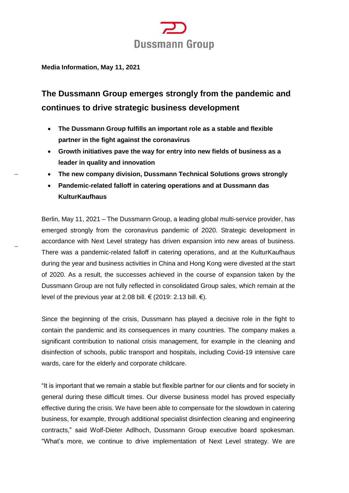

**Media Information, May 11, 2021**

# **The Dussmann Group emerges strongly from the pandemic and continues to drive strategic business development**

- **The Dussmann Group fulfills an important role as a stable and flexible partner in the fight against the coronavirus**
- **Growth initiatives pave the way for entry into new fields of business as a leader in quality and innovation**

**The new company division, Dussmann Technical Solutions grows strongly**

 **Pandemic-related falloff in catering operations and at Dussmann das KulturKaufhaus**

Berlin, May 11, 2021 – The Dussmann Group, a leading global multi-service provider, has emerged strongly from the coronavirus pandemic of 2020. Strategic development in accordance with Next Level strategy has driven expansion into new areas of business. There was a pandemic-related falloff in catering operations, and at the KulturKaufhaus during the year and business activities in China and Hong Kong were divested at the start of 2020. As a result, the successes achieved in the course of expansion taken by the Dussmann Group are not fully reflected in consolidated Group sales, which remain at the level of the previous year at 2.08 bill. € (2019: 2.13 bill. €).

Since the beginning of the crisis, Dussmann has played a decisive role in the fight to contain the pandemic and its consequences in many countries. The company makes a significant contribution to national crisis management, for example in the cleaning and disinfection of schools, public transport and hospitals, including Covid-19 intensive care wards, care for the elderly and corporate childcare.

"It is important that we remain a stable but flexible partner for our clients and for society in general during these difficult times. Our diverse business model has proved especially effective during the crisis. We have been able to compensate for the slowdown in catering business, for example, through additional specialist disinfection cleaning and engineering contracts," said Wolf-Dieter Adlhoch, Dussmann Group executive board spokesman. "What's more, we continue to drive implementation of Next Level strategy. We are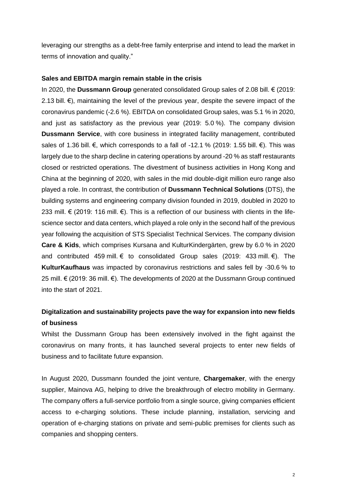leveraging our strengths as a debt-free family enterprise and intend to lead the market in terms of innovation and quality."

### **Sales and EBITDA margin remain stable in the crisis**

In 2020, the **Dussmann Group** generated consolidated Group sales of 2.08 bill. € (2019: 2.13 bill.  $€$ ), maintaining the level of the previous year, despite the severe impact of the coronavirus pandemic (-2.6 %). EBITDA on consolidated Group sales, was 5.1 % in 2020, and just as satisfactory as the previous year (2019: 5.0 %). The company division **Dussmann Service**, with core business in integrated facility management, contributed sales of 1.36 bill. €, which corresponds to a fall of -12.1 % (2019: 1.55 bill. €). This was largely due to the sharp decline in catering operations by around -20 % as staff restaurants closed or restricted operations. The divestment of business activities in Hong Kong and China at the beginning of 2020, with sales in the mid double-digit million euro range also played a role. In contrast, the contribution of **Dussmann Technical Solutions** (DTS), the building systems and engineering company division founded in 2019, doubled in 2020 to 233 mill. € (2019: 116 mill. €). This is a reflection of our business with clients in the lifescience sector and data centers, which played a role only in the second half of the previous year following the acquisition of STS Specialist Technical Services. The company division **Care & Kids**, which comprises Kursana and KulturKindergärten, grew by 6.0 % in 2020 and contributed 459 mill.  $\epsilon$  to consolidated Group sales (2019: 433 mill.  $\epsilon$ ). The **KulturKaufhaus** was impacted by coronavirus restrictions and sales fell by -30.6 % to 25 mill. € (2019: 36 mill. €). The developments of 2020 at the Dussmann Group continued into the start of 2021.

## **Digitalization and sustainability projects pave the way for expansion into new fields of business**

Whilst the Dussmann Group has been extensively involved in the fight against the coronavirus on many fronts, it has launched several projects to enter new fields of business and to facilitate future expansion.

In August 2020, Dussmann founded the joint venture, **Chargemaker**, with the energy supplier, Mainova AG, helping to drive the breakthrough of electro mobility in Germany. The company offers a full-service portfolio from a single source, giving companies efficient access to e-charging solutions. These include planning, installation, servicing and operation of e-charging stations on private and semi-public premises for clients such as companies and shopping centers.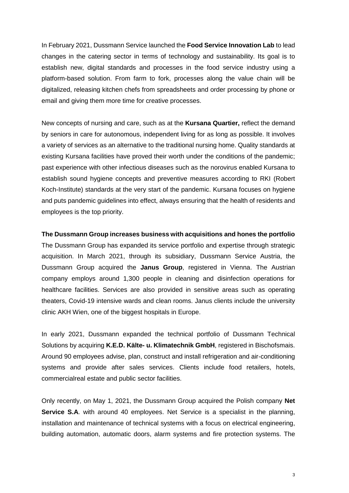In February 2021, Dussmann Service launched the **Food Service Innovation Lab** to lead changes in the catering sector in terms of technology and sustainability. Its goal is to establish new, digital standards and processes in the food service industry using a platform-based solution. From farm to fork, processes along the value chain will be digitalized, releasing kitchen chefs from spreadsheets and order processing by phone or email and giving them more time for creative processes.

New concepts of nursing and care, such as at the **Kursana Quartier,** reflect the demand by seniors in care for autonomous, independent living for as long as possible. It involves a variety of services as an alternative to the traditional nursing home. Quality standards at existing Kursana facilities have proved their worth under the conditions of the pandemic; past experience with other infectious diseases such as the norovirus enabled Kursana to establish sound hygiene concepts and preventive measures according to RKI (Robert Koch-Institute) standards at the very start of the pandemic. Kursana focuses on hygiene and puts pandemic guidelines into effect, always ensuring that the health of residents and employees is the top priority.

**The Dussmann Group increases business with acquisitions and hones the portfolio** The Dussmann Group has expanded its service portfolio and expertise through strategic acquisition. In March 2021, through its subsidiary, Dussmann Service Austria, the Dussmann Group acquired the **Janus Group**, registered in Vienna. The Austrian company employs around 1,300 people in cleaning and disinfection operations for healthcare facilities. Services are also provided in sensitive areas such as operating theaters, Covid-19 intensive wards and clean rooms. Janus clients include the university clinic AKH Wien, one of the biggest hospitals in Europe.

In early 2021, Dussmann expanded the technical portfolio of Dussmann Technical Solutions by acquiring **K.E.D. Kälte- u. Klimatechnik GmbH**, registered in Bischofsmais. Around 90 employees advise, plan, construct and install refrigeration and air-conditioning systems and provide after sales services. Clients include food retailers, hotels, commercialreal estate and public sector facilities.

Only recently, on May 1, 2021, the Dussmann Group acquired the Polish company **Net Service S.A**. with around 40 employees. Net Service is a specialist in the planning, installation and maintenance of technical systems with a focus on electrical engineering, building automation, automatic doors, alarm systems and fire protection systems. The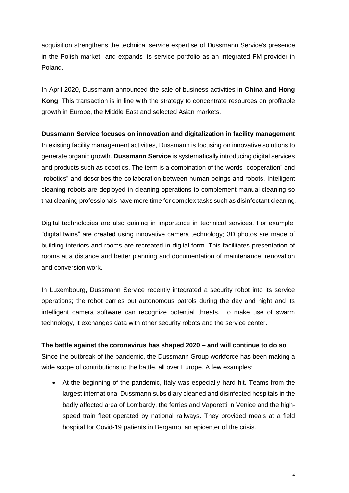acquisition strengthens the technical service expertise of Dussmann Service's presence in the Polish market and expands its service portfolio as an integrated FM provider in Poland.

In April 2020, Dussmann announced the sale of business activities in **China and Hong Kong**. This transaction is in line with the strategy to concentrate resources on profitable growth in Europe, the Middle East and selected Asian markets.

### **Dussmann Service focuses on innovation and digitalization in facility management**

In existing facility management activities, Dussmann is focusing on innovative solutions to generate organic growth. **Dussmann Service** is systematically introducing digital services and products such as cobotics. The term is a combination of the words "cooperation" and "robotics" and describes the collaboration between human beings and robots. Intelligent cleaning robots are deployed in cleaning operations to complement manual cleaning so that cleaning professionals have more time for complex tasks such as disinfectant cleaning.

Digital technologies are also gaining in importance in technical services. For example, "digital twins" are created using innovative camera technology; 3D photos are made of building interiors and rooms are recreated in digital form. This facilitates presentation of rooms at a distance and better planning and documentation of maintenance, renovation and conversion work.

In Luxembourg, Dussmann Service recently integrated a security robot into its service operations; the robot carries out autonomous patrols during the day and night and its intelligent camera software can recognize potential threats. To make use of swarm technology, it exchanges data with other security robots and the service center.

### **The battle against the coronavirus has shaped 2020 – and will continue to do so**

Since the outbreak of the pandemic, the Dussmann Group workforce has been making a wide scope of contributions to the battle, all over Europe. A few examples:

 At the beginning of the pandemic, Italy was especially hard hit. Teams from the largest international Dussmann subsidiary cleaned and disinfected hospitals in the badly affected area of Lombardy, the ferries and Vaporetti in Venice and the highspeed train fleet operated by national railways. They provided meals at a field hospital for Covid-19 patients in Bergamo, an epicenter of the crisis.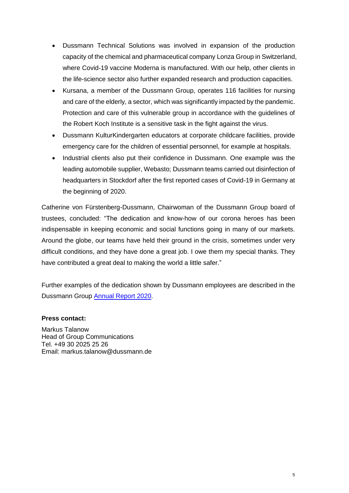- Dussmann Technical Solutions was involved in expansion of the production capacity of the chemical and pharmaceutical company Lonza Group in Switzerland, where Covid-19 vaccine Moderna is manufactured. With our help, other clients in the life-science sector also further expanded research and production capacities.
- Kursana, a member of the Dussmann Group, operates 116 facilities for nursing and care of the elderly, a sector, which was significantly impacted by the pandemic. Protection and care of this vulnerable group in accordance with the guidelines of the Robert Koch Institute is a sensitive task in the fight against the virus.
- Dussmann KulturKindergarten educators at corporate childcare facilities, provide emergency care for the children of essential personnel, for example at hospitals.
- Industrial clients also put their confidence in Dussmann. One example was the leading automobile supplier, Webasto; Dussmann teams carried out disinfection of headquarters in Stockdorf after the first reported cases of Covid-19 in Germany at the beginning of 2020.

Catherine von Fürstenberg-Dussmann, Chairwoman of the Dussmann Group board of trustees, concluded: "The dedication and know-how of our corona heroes has been indispensable in keeping economic and social functions going in many of our markets. Around the globe, our teams have held their ground in the crisis, sometimes under very difficult conditions, and they have done a great job. I owe them my special thanks. They have contributed a great deal to making the world a little safer."

Further examples of the dedication shown by Dussmann employees are described in the Dussmann Group [Annual Report 2020.](https://news.dussmanngroup.com/en/publications/)

### **Press contact:**

Markus Talanow Head of Group Communications Tel. +49 30 2025 25 26 Email: markus.talanow@dussmann.de